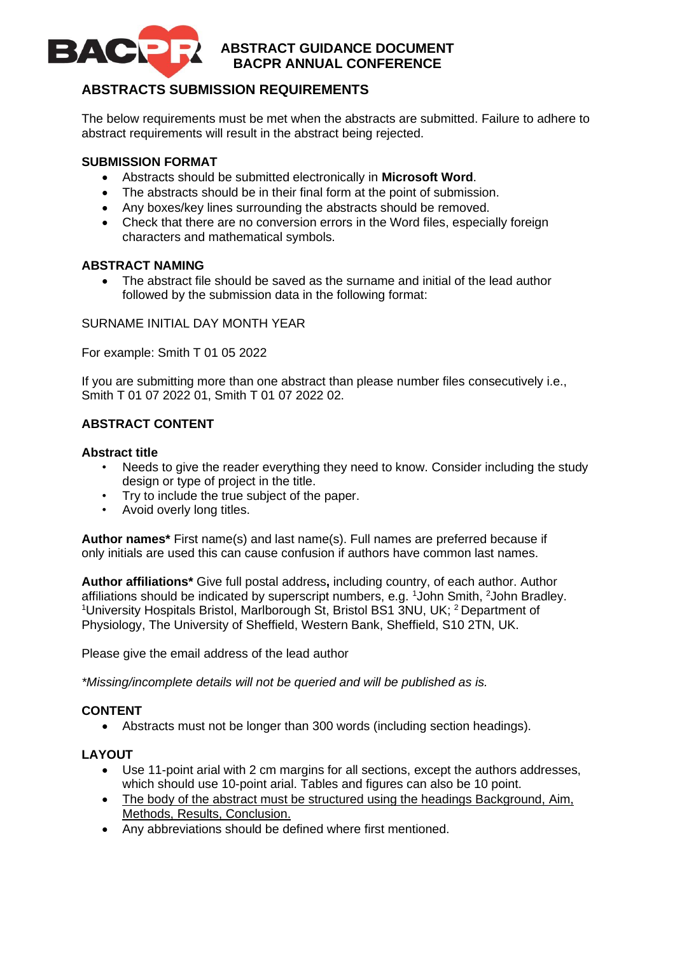

# **ABSTRACT GUIDANCE DOCUMENT BACPR ANNUAL CONFERENCE**

# **ABSTRACTS SUBMISSION REQUIREMENTS**

The below requirements must be met when the abstracts are submitted. Failure to adhere to abstract requirements will result in the abstract being rejected.

## **SUBMISSION FORMAT**

- Abstracts should be submitted electronically in **Microsoft Word**.
- The abstracts should be in their final form at the point of submission.
- Any boxes/key lines surrounding the abstracts should be removed.
- Check that there are no conversion errors in the Word files, especially foreign characters and mathematical symbols.

## **ABSTRACT NAMING**

• The abstract file should be saved as the surname and initial of the lead author followed by the submission data in the following format:

### SURNAME INITIAL DAY MONTH YEAR

For example: Smith T 01 05 2022

If you are submitting more than one abstract than please number files consecutively i.e., Smith T 01 07 2022 01, Smith T 01 07 2022 02.

## **ABSTRACT CONTENT**

### **Abstract title**

- Needs to give the reader everything they need to know. Consider including the study design or type of project in the title.
- Try to include the true subject of the paper.
- Avoid overly long titles.

**Author names\*** First name(s) and last name(s). Full names are preferred because if only initials are used this can cause confusion if authors have common last names.

**Author affiliations\*** Give full postal address**,** including country, of each author. Author affiliations should be indicated by superscript numbers, e.g. <sup>1</sup>John Smith, <sup>2</sup>John Bradley. <sup>1</sup>University Hospitals Bristol, Marlborough St, Bristol BS1 3NU, UK; <sup>2</sup> Department of Physiology, The University of Sheffield, Western Bank, Sheffield, S10 2TN, UK.

Please give the email address of the lead author

*\*Missing/incomplete details will not be queried and will be published as is.*

## **CONTENT**

• Abstracts must not be longer than 300 words (including section headings).

## **LAYOUT**

- Use 11-point arial with 2 cm margins for all sections, except the authors addresses, which should use 10-point arial. Tables and figures can also be 10 point.
- The body of the abstract must be structured using the headings Background, Aim, Methods, Results, Conclusion.
- Any abbreviations should be defined where first mentioned.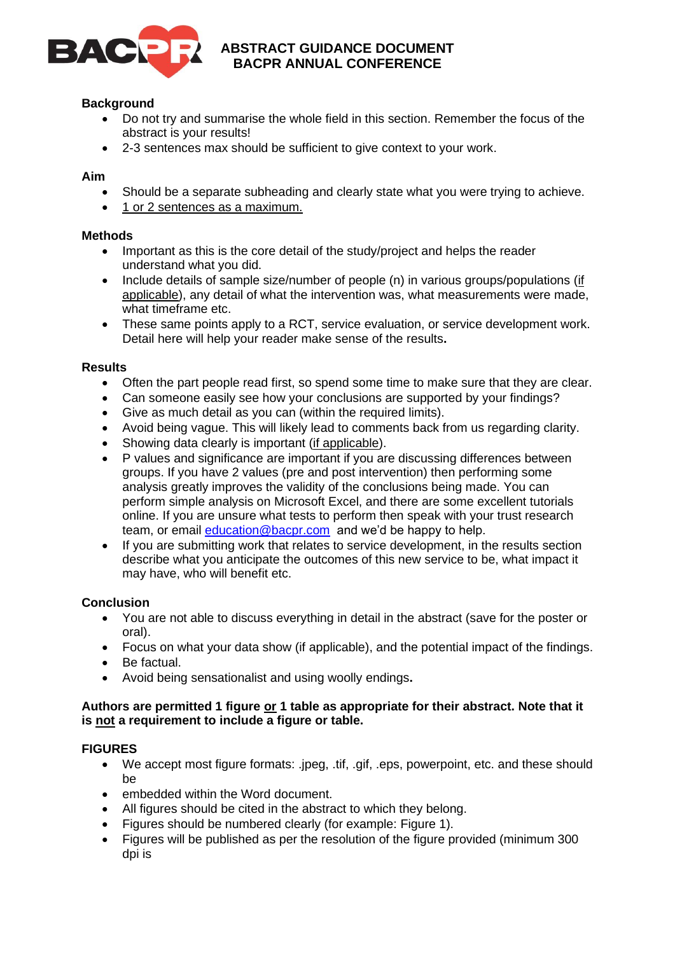

# **ABSTRACT GUIDANCE DOCUMENT BACPR ANNUAL CONFERENCE**

## **Background**

- Do not try and summarise the whole field in this section. Remember the focus of the abstract is your results!
- 2-3 sentences max should be sufficient to give context to your work.

### **Aim**

- Should be a separate subheading and clearly state what you were trying to achieve.
- 1 or 2 sentences as a maximum.

#### **Methods**

- Important as this is the core detail of the study/project and helps the reader understand what you did.
- Include details of sample size/number of people (n) in various groups/populations (if applicable), any detail of what the intervention was, what measurements were made, what timeframe etc.
- These same points apply to a RCT, service evaluation, or service development work. Detail here will help your reader make sense of the results**.**

### **Results**

- Often the part people read first, so spend some time to make sure that they are clear.
- Can someone easily see how your conclusions are supported by your findings?
- Give as much detail as you can (within the required limits).
- Avoid being vague. This will likely lead to comments back from us regarding clarity.
- Showing data clearly is important (if applicable).
- P values and significance are important if you are discussing differences between groups. If you have 2 values (pre and post intervention) then performing some analysis greatly improves the validity of the conclusions being made. You can perform simple analysis on Microsoft Excel, and there are some excellent tutorials online. If you are unsure what tests to perform then speak with your trust research team, or email [education@bacpr.com](mailto:education@bacpr.com) and we'd be happy to help.
- If you are submitting work that relates to service development, in the results section describe what you anticipate the outcomes of this new service to be, what impact it may have, who will benefit etc.

#### **Conclusion**

- You are not able to discuss everything in detail in the abstract (save for the poster or oral).
- Focus on what your data show (if applicable), and the potential impact of the findings.
- Be factual.
- Avoid being sensationalist and using woolly endings**.**

### **Authors are permitted 1 figure or 1 table as appropriate for their abstract. Note that it is not a requirement to include a figure or table.**

## **FIGURES**

- We accept most figure formats: .jpeg, .tif, .gif, .eps, powerpoint, etc. and these should be
- embedded within the Word document.
- All figures should be cited in the abstract to which they belong.
- Figures should be numbered clearly (for example: Figure 1).
- Figures will be published as per the resolution of the figure provided (minimum 300) dpi is